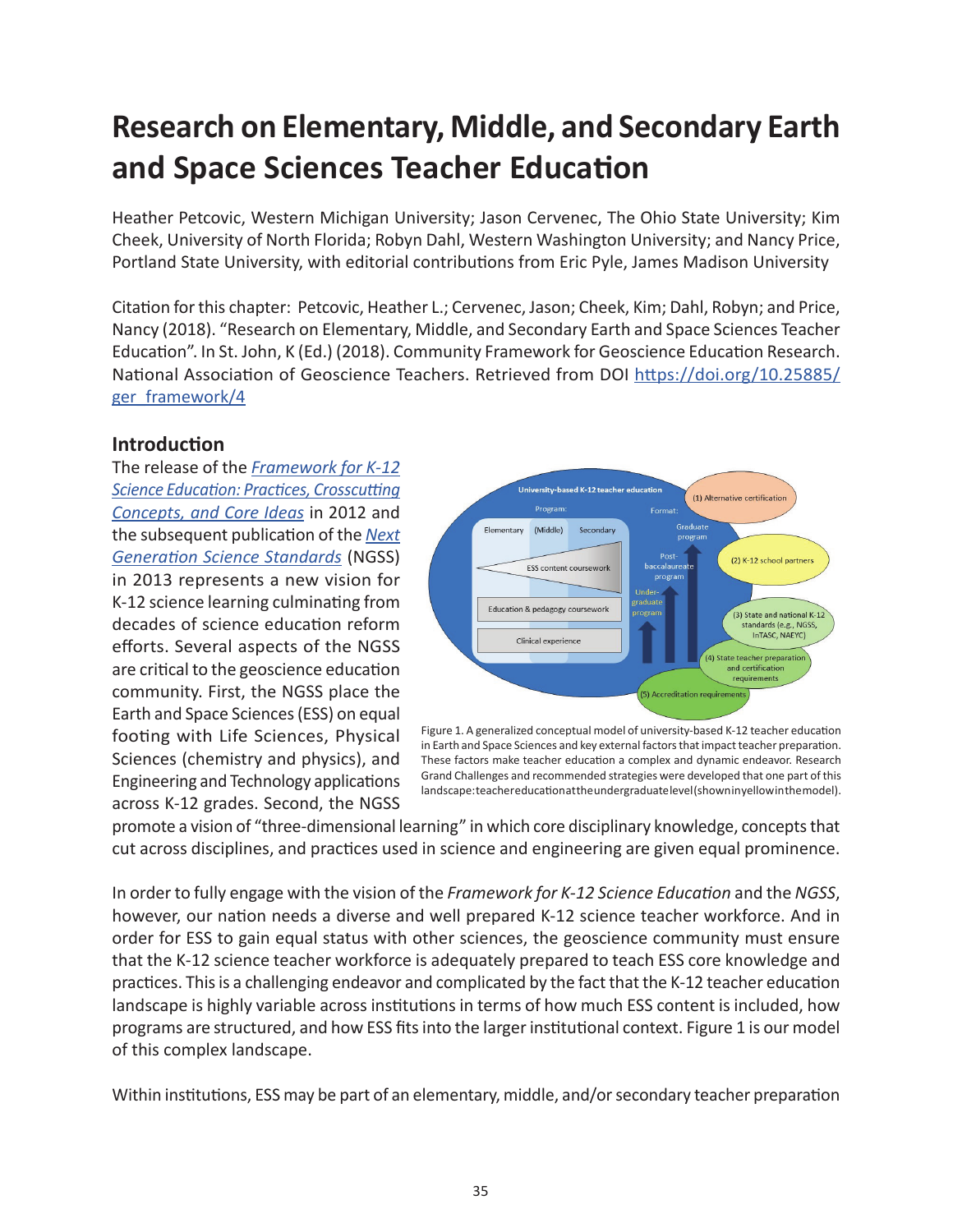# **Research on Elementary, Middle, and Secondary Earth and Space Sciences Teacher Education**

Heather Petcovic, Western Michigan University; Jason Cervenec, The Ohio State University; Kim Cheek, University of North Florida; Robyn Dahl, Western Washington University; and Nancy Price, Portland State University, with editorial contributions from Eric Pyle, James Madison University

Citation for this chapter: Petcovic, Heather L.; Cervenec, Jason; Cheek, Kim; Dahl, Robyn; and Price, Nancy (2018). "Research on Elementary, Middle, and Secondary Earth and Space Sciences Teacher Education". In St. John, K (Ed.) (2018). Community Framework for Geoscience Education Research. National Association of Geoscience Teachers. Retrieved from DOI [https://doi.org/10.25885/](http://commons.lib.jmu.edu/ger_framework/4/) [ger\\_framework/4](http://commons.lib.jmu.edu/ger_framework/4/)

#### **Introduction**

The release of the *[Framework for K-12](https://www.nextgenscience.org/framework-k-12-science-education) [Science Education: Practices, Crosscutting](https://www.nextgenscience.org/framework-k-12-science-education) [Concepts, and Core Ideas](https://www.nextgenscience.org/framework-k-12-science-education)* in 2012 and the subsequent publication of the *[Next](https://www.nextgenscience.org/) [Generation Science Standards](https://www.nextgenscience.org/)* (NGSS) in 2013 represents a new vision for K-12 science learning culminating from decades of science education reform efforts. Several aspects of the NGSS are critical to the geoscience education community. First, the NGSS place the Earth and Space Sciences (ESS) on equal footing with Life Sciences, Physical Sciences (chemistry and physics), and Engineering and Technology applications across K-12 grades. Second, the NGSS



Figure 1. A generalized conceptual model of university-based K-12 teacher education in Earth and Space Sciences and key external factors that impact teacher preparation. These factors make teacher education a complex and dynamic endeavor. Research Grand Challenges and recommended strategies were developed that one part of this landscape: teacher education at the undergraduate level (shown in yellow in the model).

promote a vision of "three-dimensional learning" in which core disciplinary knowledge, concepts that cut across disciplines, and practices used in science and engineering are given equal prominence.

In order to fully engage with the vision of the *Framework for K-12 Science Education* and the *NGSS*, however, our nation needs a diverse and well prepared K-12 science teacher workforce. And in order for ESS to gain equal status with other sciences, the geoscience community must ensure that the K-12 science teacher workforce is adequately prepared to teach ESS core knowledge and practices. This is a challenging endeavor and complicated by the fact that the K-12 teacher education landscape is highly variable across institutions in terms of how much ESS content is included, how programs are structured, and how ESS fits into the larger institutional context. Figure 1 is our model of this complex landscape.

Within institutions, ESS may be part of an elementary, middle, and/or secondary teacher preparation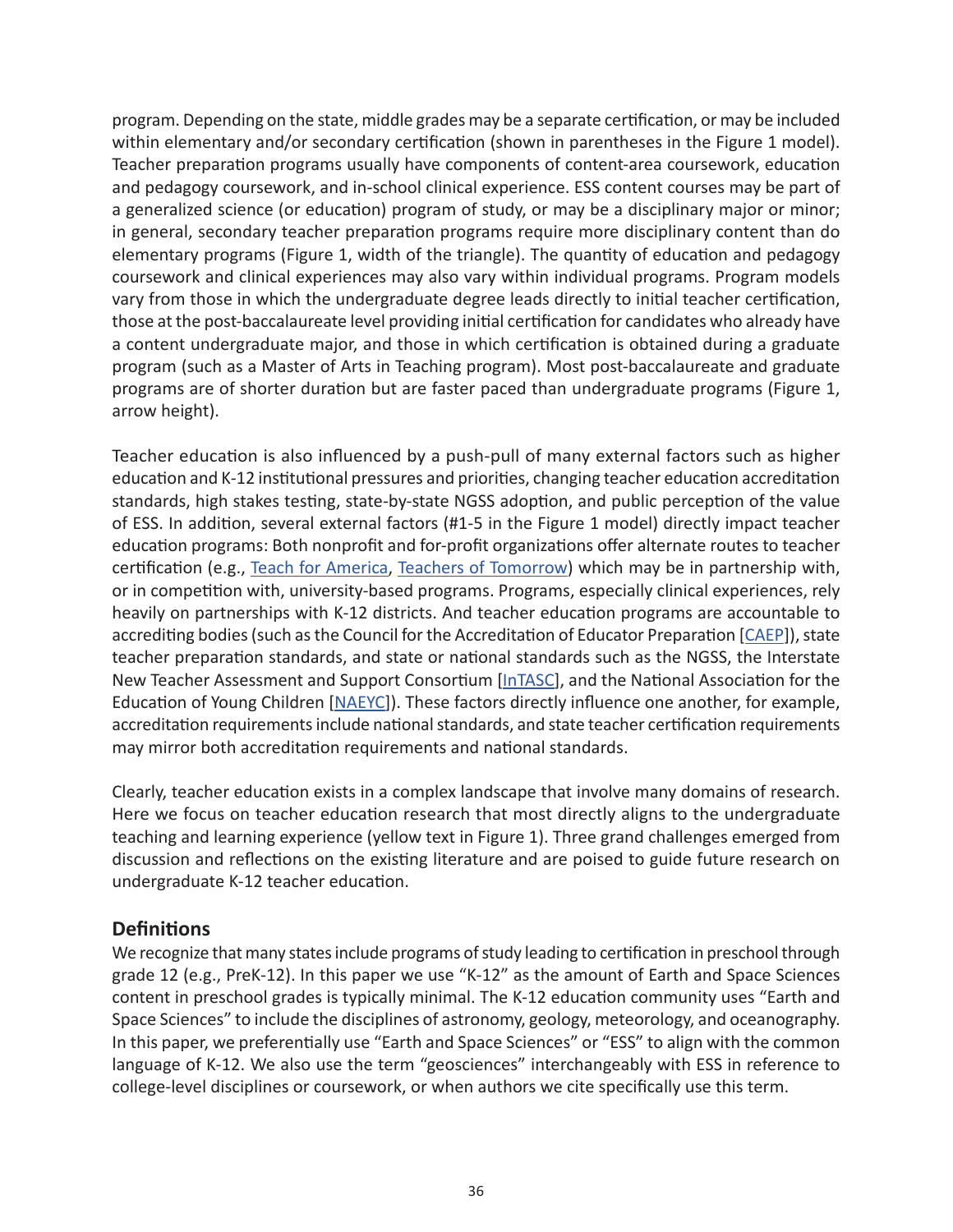program. Depending on the state, middle grades may be a separate certification, or may be included within elementary and/or secondary certification (shown in parentheses in the Figure 1 model). Teacher preparation programs usually have components of content-area coursework, education and pedagogy coursework, and in-school clinical experience. ESS content courses may be part of a generalized science (or education) program of study, or may be a disciplinary major or minor; in general, secondary teacher preparation programs require more disciplinary content than do elementary programs (Figure 1, width of the triangle). The quantity of education and pedagogy coursework and clinical experiences may also vary within individual programs. Program models vary from those in which the undergraduate degree leads directly to initial teacher certification, those at the post-baccalaureate level providing initial certification for candidates who already have a content undergraduate major, and those in which certification is obtained during a graduate program (such as a Master of Arts in Teaching program). Most post-baccalaureate and graduate programs are of shorter duration but are faster paced than undergraduate programs (Figure 1, arrow height).

Teacher education is also influenced by a push-pull of many external factors such as higher education and K-12 institutional pressures and priorities, changing teacher education accreditation standards, high stakes testing, state-by-state NGSS adoption, and public perception of the value of ESS. In addition, several external factors (#1-5 in the Figure 1 model) directly impact teacher education programs: Both nonprofit and for-profit organizations offer alternate routes to teacher certification (e.g., [Teach for America](https://www.teachforamerica.org/), [Teachers of Tomorrow](https://www.teachersoftomorrow.org/)) which may be in partnership with, or in competition with, university-based programs. Programs, especially clinical experiences, rely heavily on partnerships with K-12 districts. And teacher education programs are accountable to accrediting bodies (such as the Council for the Accreditation of Educator Preparation [[CAEP](http://www.ncate.org/)]), state teacher preparation standards, and state or national standards such as the NGSS, the Interstate New Teacher Assessment and Support Consortium [\[InTASC](https://www.ccsso.org/resource-library/intasc-model-core-teaching-standards-and-learning-progressions-teachers-10)], and the National Association for the Education of Young Children [\[NAEYC](https://www.naeyc.org/)]). These factors directly influence one another, for example, accreditation requirements include national standards, and state teacher certification requirements may mirror both accreditation requirements and national standards.

Clearly, teacher education exists in a complex landscape that involve many domains of research. Here we focus on teacher education research that most directly aligns to the undergraduate teaching and learning experience (yellow text in Figure 1). Three grand challenges emerged from discussion and reflections on the existing literature and are poised to guide future research on undergraduate K-12 teacher education.

#### **Definitions**

We recognize that many states include programs of study leading to certification in preschool through grade 12 (e.g., PreK-12). In this paper we use "K-12" as the amount of Earth and Space Sciences content in preschool grades is typically minimal. The K-12 education community uses "Earth and Space Sciences" to include the disciplines of astronomy, geology, meteorology, and oceanography. In this paper, we preferentially use "Earth and Space Sciences" or "ESS" to align with the common language of K-12. We also use the term "geosciences" interchangeably with ESS in reference to college-level disciplines or coursework, or when authors we cite specifically use this term.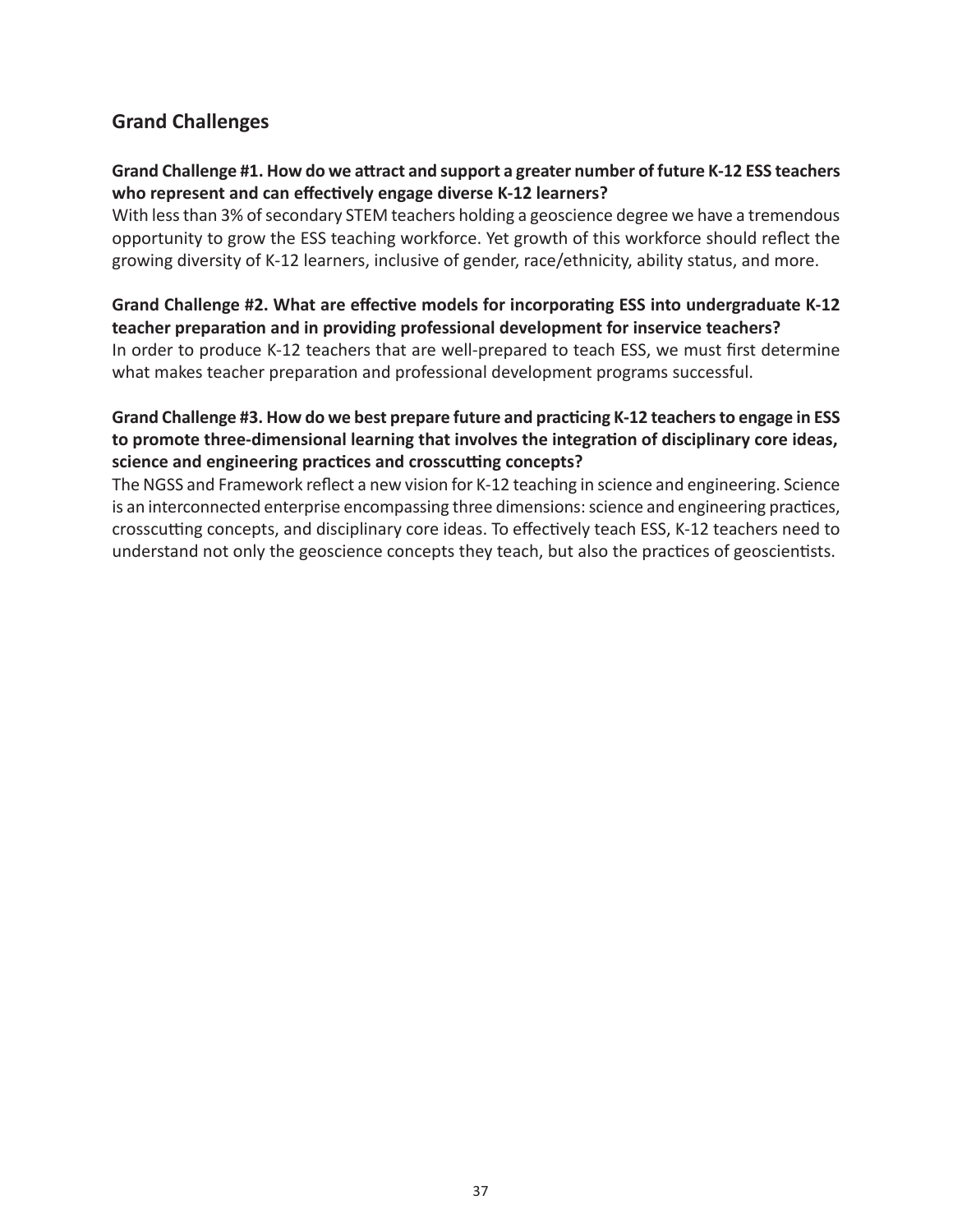### **Grand Challenges**

#### **Grand Challenge #1. How do we attract and support a greater number of future K-12 ESS teachers who represent and can effectively engage diverse K-12 learners?**

With less than 3% of secondary STEM teachers holding a geoscience degree we have a tremendous opportunity to grow the ESS teaching workforce. Yet growth of this workforce should reflect the growing diversity of K-12 learners, inclusive of gender, race/ethnicity, ability status, and more.

#### **Grand Challenge #2. What are effective models for incorporating ESS into undergraduate K-12 teacher preparation and in providing professional development for inservice teachers?**

In order to produce K-12 teachers that are well-prepared to teach ESS, we must first determine what makes teacher preparation and professional development programs successful.

#### **Grand Challenge #3. How do we best prepare future and practicing K-12 teachers to engage in ESS to promote three-dimensional learning that involves the integration of disciplinary core ideas, science and engineering practices and crosscutting concepts?**

The NGSS and Framework reflect a new vision for K-12 teaching in science and engineering. Science is an interconnected enterprise encompassing three dimensions: science and engineering practices, crosscutting concepts, and disciplinary core ideas. To effectively teach ESS, K-12 teachers need to understand not only the geoscience concepts they teach, but also the practices of geoscientists.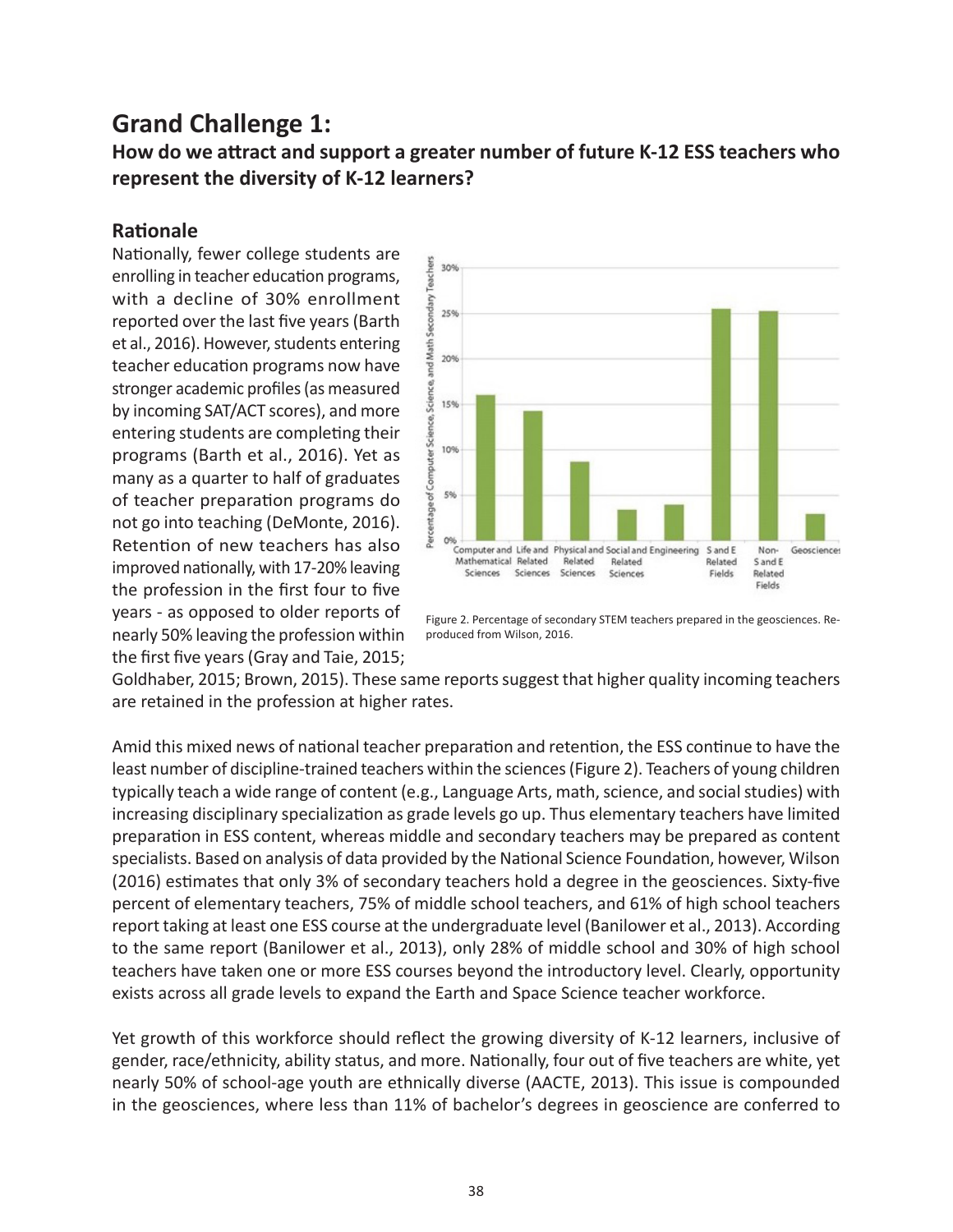## **Grand Challenge 1:**

### **How do we attract and support a greater number of future K-12 ESS teachers who represent the diversity of K-12 learners?**

#### **Rationale**

Nationally, fewer college students are enrolling in teacher education programs, with a decline of 30% enrollment reported over the last five years (Barth et al., 2016). However, students entering teacher education programs now have stronger academic profiles (as measured by incoming SAT/ACT scores), and more entering students are completing their programs (Barth et al., 2016). Yet as many as a quarter to half of graduates of teacher preparation programs do not go into teaching (DeMonte, 2016). Retention of new teachers has also improved nationally, with 17-20% leaving the profession in the first four to five years - as opposed to older reports of nearly 50% leaving the profession within the first five years (Gray and Taie, 2015;



Figure 2. Percentage of secondary STEM teachers prepared in the geosciences. Reproduced from Wilson, 2016.

Goldhaber, 2015; Brown, 2015). These same reports suggest that higher quality incoming teachers are retained in the profession at higher rates.

Amid this mixed news of national teacher preparation and retention, the ESS continue to have the least number of discipline-trained teachers within the sciences (Figure 2). Teachers of young children typically teach a wide range of content (e.g., Language Arts, math, science, and social studies) with increasing disciplinary specialization as grade levels go up. Thus elementary teachers have limited preparation in ESS content, whereas middle and secondary teachers may be prepared as content specialists. Based on analysis of data provided by the National Science Foundation, however, Wilson (2016) estimates that only 3% of secondary teachers hold a degree in the geosciences. Sixty-five percent of elementary teachers, 75% of middle school teachers, and 61% of high school teachers report taking at least one ESS course at the undergraduate level (Banilower et al., 2013). According to the same report (Banilower et al., 2013), only 28% of middle school and 30% of high school teachers have taken one or more ESS courses beyond the introductory level. Clearly, opportunity exists across all grade levels to expand the Earth and Space Science teacher workforce.

Yet growth of this workforce should reflect the growing diversity of K-12 learners, inclusive of gender, race/ethnicity, ability status, and more. Nationally, four out of five teachers are white, yet nearly 50% of school-age youth are ethnically diverse (AACTE, 2013). This issue is compounded in the geosciences, where less than 11% of bachelor's degrees in geoscience are conferred to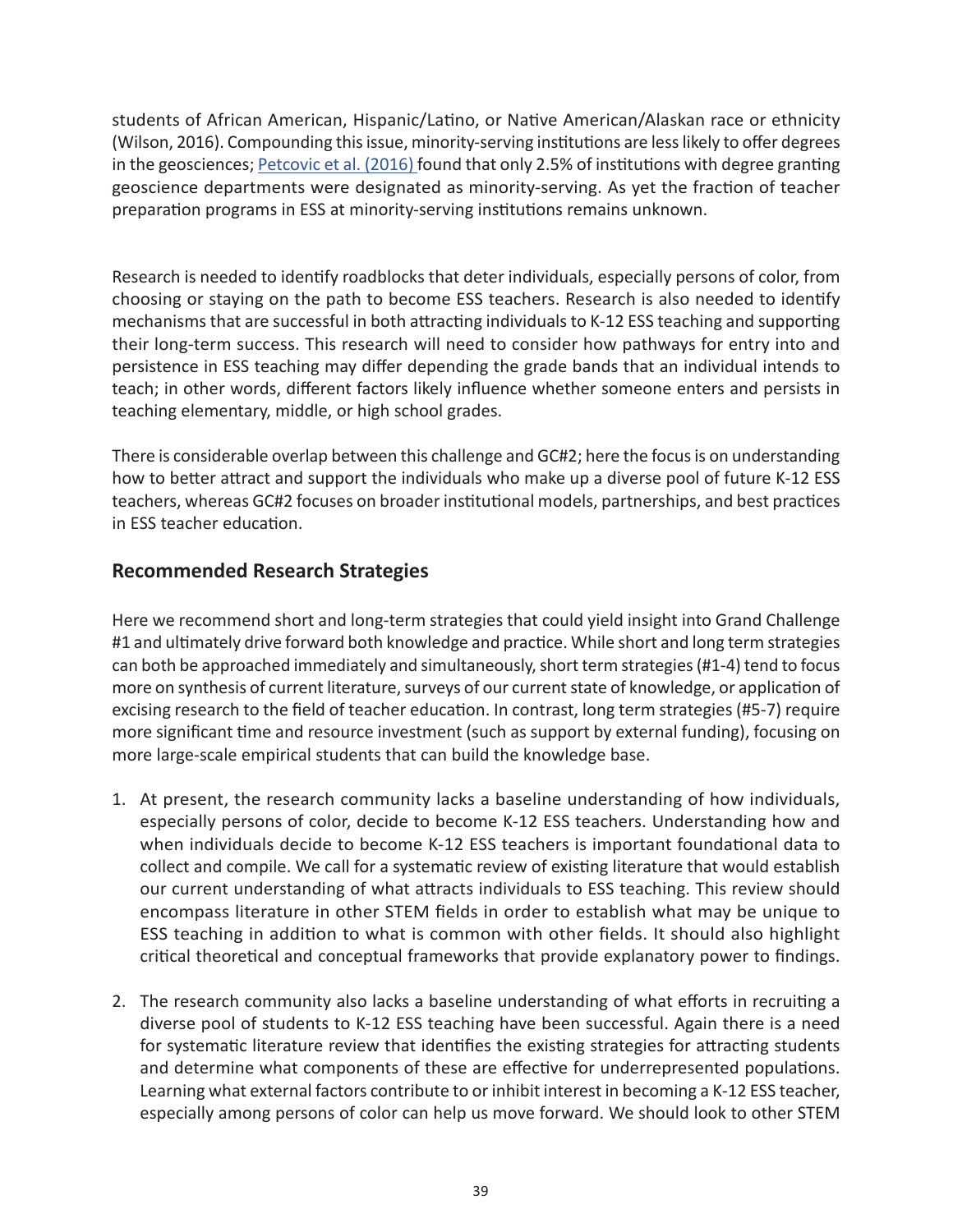students of African American, Hispanic/Latino, or Native American/Alaskan race or ethnicity (Wilson, 2016). Compounding this issue, minority-serving institutions are less likely to offer degrees in the geosciences; [Petcovic et al. \(2016\)](https://serc.carleton.edu/geoneeds/index.html) found that only 2.5% of institutions with degree granting geoscience departments were designated as minority-serving. As yet the fraction of teacher preparation programs in ESS at minority-serving institutions remains unknown.

Research is needed to identify roadblocks that deter individuals, especially persons of color, from choosing or staying on the path to become ESS teachers. Research is also needed to identify mechanisms that are successful in both attracting individuals to K-12 ESS teaching and supporting their long-term success. This research will need to consider how pathways for entry into and persistence in ESS teaching may differ depending the grade bands that an individual intends to teach; in other words, different factors likely influence whether someone enters and persists in teaching elementary, middle, or high school grades.

There is considerable overlap between this challenge and GC#2; here the focus is on understanding how to better attract and support the individuals who make up a diverse pool of future K-12 ESS teachers, whereas GC#2 focuses on broader institutional models, partnerships, and best practices in ESS teacher education.

### **Recommended Research Strategies**

Here we recommend short and long-term strategies that could yield insight into Grand Challenge #1 and ultimately drive forward both knowledge and practice. While short and long term strategies can both be approached immediately and simultaneously, short term strategies (#1-4) tend to focus more on synthesis of current literature, surveys of our current state of knowledge, or application of excising research to the field of teacher education. In contrast, long term strategies (#5-7) require more significant time and resource investment (such as support by external funding), focusing on more large-scale empirical students that can build the knowledge base.

- 1. At present, the research community lacks a baseline understanding of how individuals, especially persons of color, decide to become K-12 ESS teachers. Understanding how and when individuals decide to become K-12 ESS teachers is important foundational data to collect and compile. We call for a systematic review of existing literature that would establish our current understanding of what attracts individuals to ESS teaching. This review should encompass literature in other STEM fields in order to establish what may be unique to ESS teaching in addition to what is common with other fields. It should also highlight critical theoretical and conceptual frameworks that provide explanatory power to findings.
- 2. The research community also lacks a baseline understanding of what efforts in recruiting a diverse pool of students to K-12 ESS teaching have been successful. Again there is a need for systematic literature review that identifies the existing strategies for attracting students and determine what components of these are effective for underrepresented populations. Learning what external factors contribute to or inhibit interest in becoming a K-12 ESS teacher, especially among persons of color can help us move forward. We should look to other STEM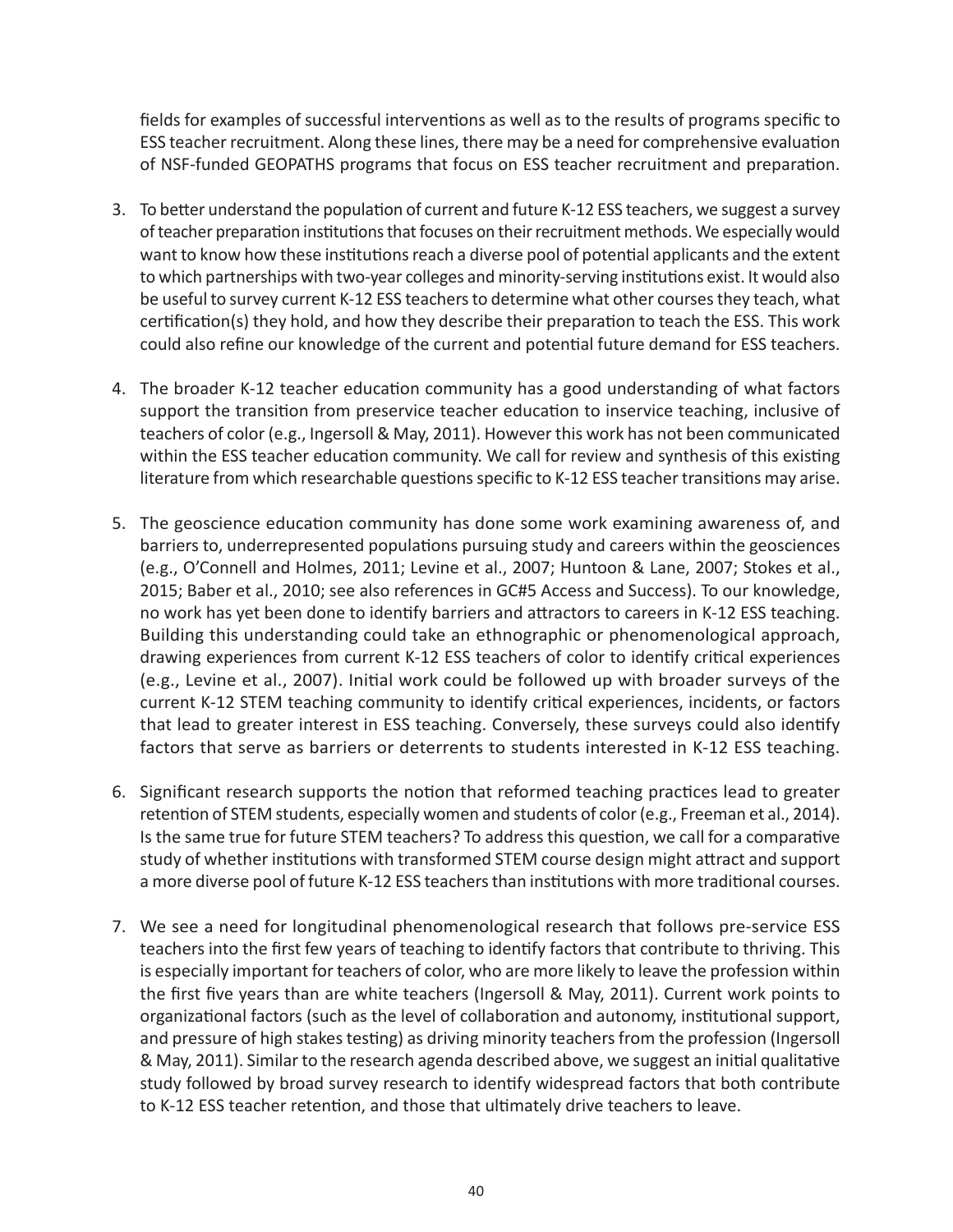fields for examples of successful interventions as well as to the results of programs specific to ESS teacher recruitment. Along these lines, there may be a need for comprehensive evaluation of NSF-funded GEOPATHS programs that focus on ESS teacher recruitment and preparation.

- 3. To better understand the population of current and future K-12 ESS teachers, we suggest a survey of teacher preparation institutions that focuses on their recruitment methods. We especially would want to know how these institutions reach a diverse pool of potential applicants and the extent to which partnerships with two-year colleges and minority-serving institutions exist. It would also be useful to survey current K-12 ESS teachers to determine what other courses they teach, what certification(s) they hold, and how they describe their preparation to teach the ESS. This work could also refine our knowledge of the current and potential future demand for ESS teachers.
- 4. The broader K-12 teacher education community has a good understanding of what factors support the transition from preservice teacher education to inservice teaching, inclusive of teachers of color (e.g., Ingersoll & May, 2011). However this work has not been communicated within the ESS teacher education community. We call for review and synthesis of this existing literature from which researchable questions specific to K-12 ESS teacher transitions may arise.
- 5. The geoscience education community has done some work examining awareness of, and barriers to, underrepresented populations pursuing study and careers within the geosciences (e.g., O'Connell and Holmes, 2011; Levine et al., 2007; Huntoon & Lane, 2007; Stokes et al., 2015; Baber et al., 2010; see also references in GC#5 Access and Success). To our knowledge, no work has yet been done to identify barriers and attractors to careers in K-12 ESS teaching. Building this understanding could take an ethnographic or phenomenological approach, drawing experiences from current K-12 ESS teachers of color to identify critical experiences (e.g., Levine et al., 2007). Initial work could be followed up with broader surveys of the current K-12 STEM teaching community to identify critical experiences, incidents, or factors that lead to greater interest in ESS teaching. Conversely, these surveys could also identify factors that serve as barriers or deterrents to students interested in K-12 ESS teaching.
- 6. Significant research supports the notion that reformed teaching practices lead to greater retention of STEM students, especially women and students of color (e.g., Freeman et al., 2014). Is the same true for future STEM teachers? To address this question, we call for a comparative study of whether institutions with transformed STEM course design might attract and support a more diverse pool of future K-12 ESS teachers than institutions with more traditional courses.
- 7. We see a need for longitudinal phenomenological research that follows pre-service ESS teachers into the first few years of teaching to identify factors that contribute to thriving. This is especially important for teachers of color, who are more likely to leave the profession within the first five years than are white teachers (Ingersoll & May, 2011). Current work points to organizational factors (such as the level of collaboration and autonomy, institutional support, and pressure of high stakes testing) as driving minority teachers from the profession (Ingersoll & May, 2011). Similar to the research agenda described above, we suggest an initial qualitative study followed by broad survey research to identify widespread factors that both contribute to K-12 ESS teacher retention, and those that ultimately drive teachers to leave.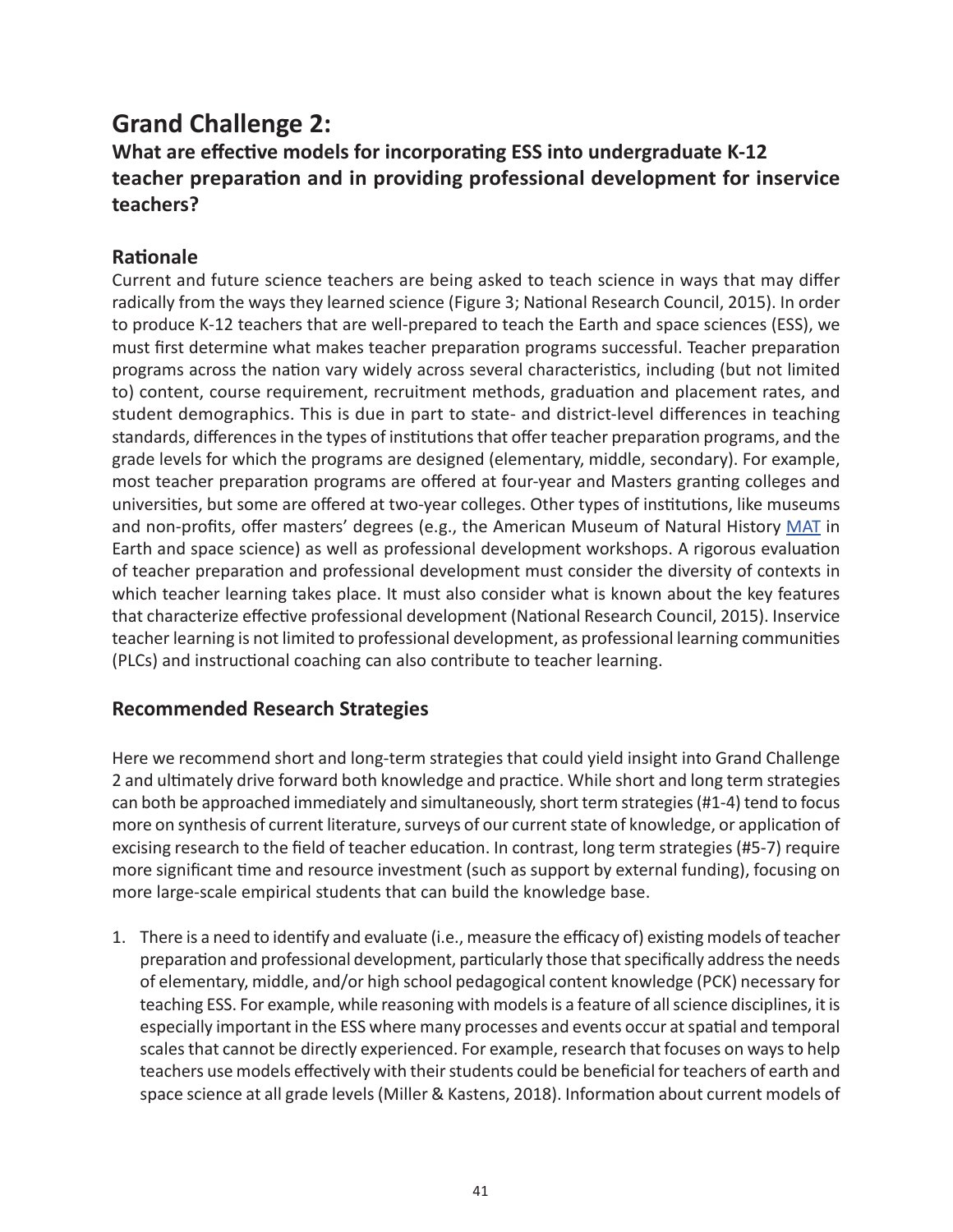## **Grand Challenge 2:**

## **What are effective models for incorporating ESS into undergraduate K-12 teacher preparation and in providing professional development for inservice teachers?**

### **Rationale**

Current and future science teachers are being asked to teach science in ways that may differ radically from the ways they learned science (Figure 3; National Research Council, 2015). In order to produce K-12 teachers that are well-prepared to teach the Earth and space sciences (ESS), we must first determine what makes teacher preparation programs successful. Teacher preparation programs across the nation vary widely across several characteristics, including (but not limited to) content, course requirement, recruitment methods, graduation and placement rates, and student demographics. This is due in part to state- and district-level differences in teaching standards, differences in the types of institutions that offer teacher preparation programs, and the grade levels for which the programs are designed (elementary, middle, secondary). For example, most teacher preparation programs are offered at four-year and Masters granting colleges and universities, but some are offered at two-year colleges. Other types of institutions, like museums and non-profits, offer masters' degrees (e.g., the American Museum of Natural History [MAT](https://www.amnh.org/learn-teach/master-of-arts-in-teaching/) in Earth and space science) as well as professional development workshops. A rigorous evaluation of teacher preparation and professional development must consider the diversity of contexts in which teacher learning takes place. It must also consider what is known about the key features that characterize effective professional development (National Research Council, 2015). Inservice teacher learning is not limited to professional development, as professional learning communities (PLCs) and instructional coaching can also contribute to teacher learning.

### **Recommended Research Strategies**

Here we recommend short and long-term strategies that could yield insight into Grand Challenge 2 and ultimately drive forward both knowledge and practice. While short and long term strategies can both be approached immediately and simultaneously, short term strategies (#1-4) tend to focus more on synthesis of current literature, surveys of our current state of knowledge, or application of excising research to the field of teacher education. In contrast, long term strategies (#5-7) require more significant time and resource investment (such as support by external funding), focusing on more large-scale empirical students that can build the knowledge base.

1. There is a need to identify and evaluate (i.e., measure the efficacy of) existing models of teacher preparation and professional development, particularly those that specifically address the needs of elementary, middle, and/or high school pedagogical content knowledge (PCK) necessary for teaching ESS. For example, while reasoning with models is a feature of all science disciplines, it is especially important in the ESS where many processes and events occur at spatial and temporal scales that cannot be directly experienced. For example, research that focuses on ways to help teachers use models effectively with their students could be beneficial for teachers of earth and space science at all grade levels (Miller & Kastens, 2018). Information about current models of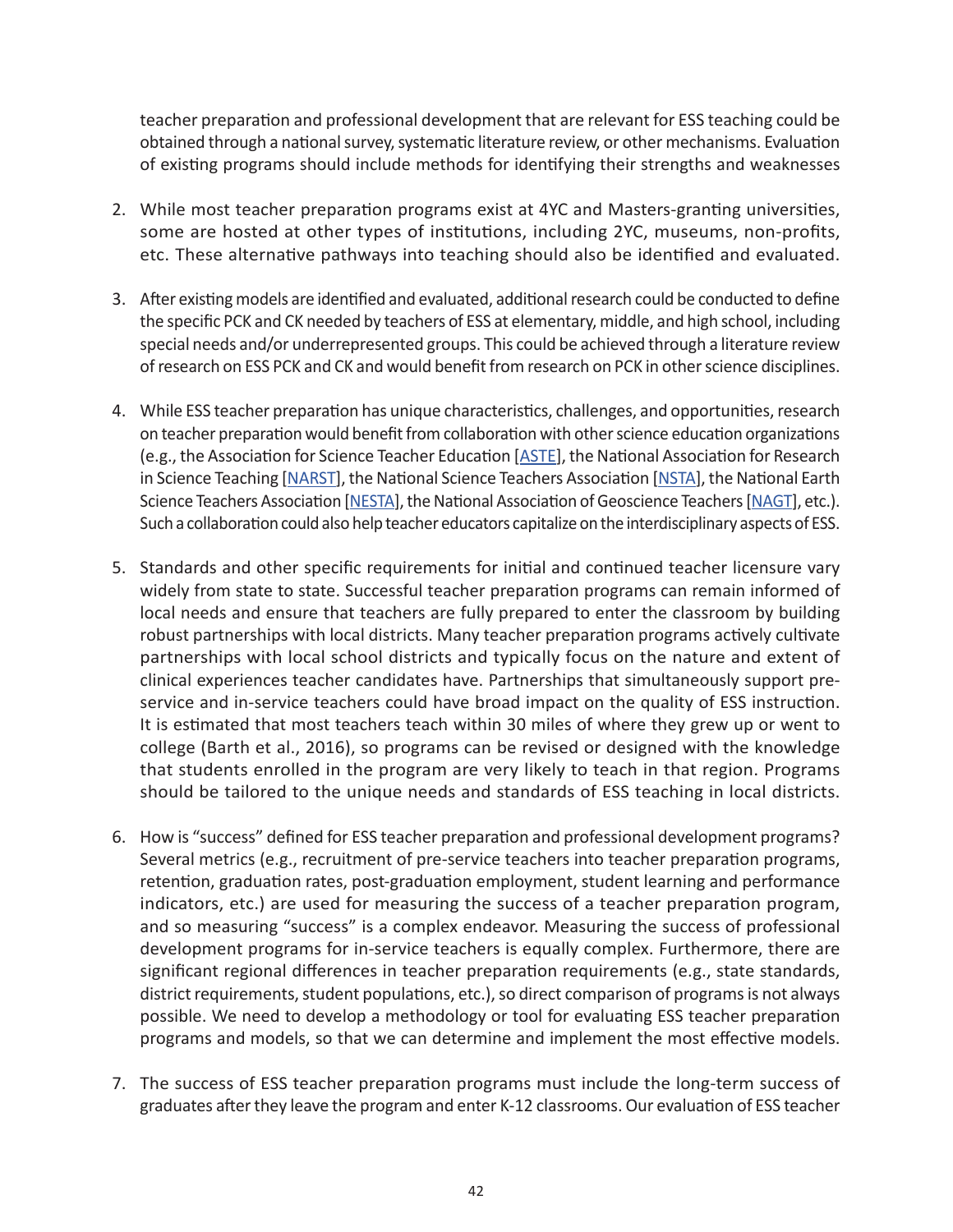teacher preparation and professional development that are relevant for ESS teaching could be obtained through a national survey, systematic literature review, or other mechanisms. Evaluation of existing programs should include methods for identifying their strengths and weaknesses

- 2. While most teacher preparation programs exist at 4YC and Masters-granting universities, some are hosted at other types of institutions, including 2YC, museums, non-profits, etc. These alternative pathways into teaching should also be identified and evaluated.
- 3. After existing models are identified and evaluated, additional research could be conducted to define the specific PCK and CK needed by teachers of ESS at elementary, middle, and high school, including special needs and/or underrepresented groups. This could be achieved through a literature review of research on ESS PCK and CK and would benefit from research on PCK in other science disciplines.
- 4. While ESS teacher preparation has unique characteristics, challenges, and opportunities, research on teacher preparation would benefit from collaboration with other science education organizations (e.g., the Association for Science Teacher Education [[ASTE](https://nagt.org/index.html)], the National Association for Research in Science Teaching [[NARST\]](https://www.narst.org/), the National Science Teachers Association [\[NSTA](http://www.nsta.org/)], the National Earth Science Teachers Association [[NESTA](https://serc.carleton.edu/nesta/index.html)], the National Association of Geoscience Teachers [[NAGT](https://nagt.org/index.html)], etc.). Such a collaboration could also help teacher educators capitalize on the interdisciplinary aspects of ESS.
- 5. Standards and other specific requirements for initial and continued teacher licensure vary widely from state to state. Successful teacher preparation programs can remain informed of local needs and ensure that teachers are fully prepared to enter the classroom by building robust partnerships with local districts. Many teacher preparation programs actively cultivate partnerships with local school districts and typically focus on the nature and extent of clinical experiences teacher candidates have. Partnerships that simultaneously support preservice and in-service teachers could have broad impact on the quality of ESS instruction. It is estimated that most teachers teach within 30 miles of where they grew up or went to college (Barth et al., 2016), so programs can be revised or designed with the knowledge that students enrolled in the program are very likely to teach in that region. Programs should be tailored to the unique needs and standards of ESS teaching in local districts.
- 6. How is "success" defined for ESS teacher preparation and professional development programs? Several metrics (e.g., recruitment of pre-service teachers into teacher preparation programs, retention, graduation rates, post-graduation employment, student learning and performance indicators, etc.) are used for measuring the success of a teacher preparation program, and so measuring "success" is a complex endeavor. Measuring the success of professional development programs for in-service teachers is equally complex. Furthermore, there are significant regional differences in teacher preparation requirements (e.g., state standards, district requirements, student populations, etc.), so direct comparison of programs is not always possible. We need to develop a methodology or tool for evaluating ESS teacher preparation programs and models, so that we can determine and implement the most effective models.
- 7. The success of ESS teacher preparation programs must include the long-term success of graduates after they leave the program and enter K-12 classrooms. Our evaluation of ESS teacher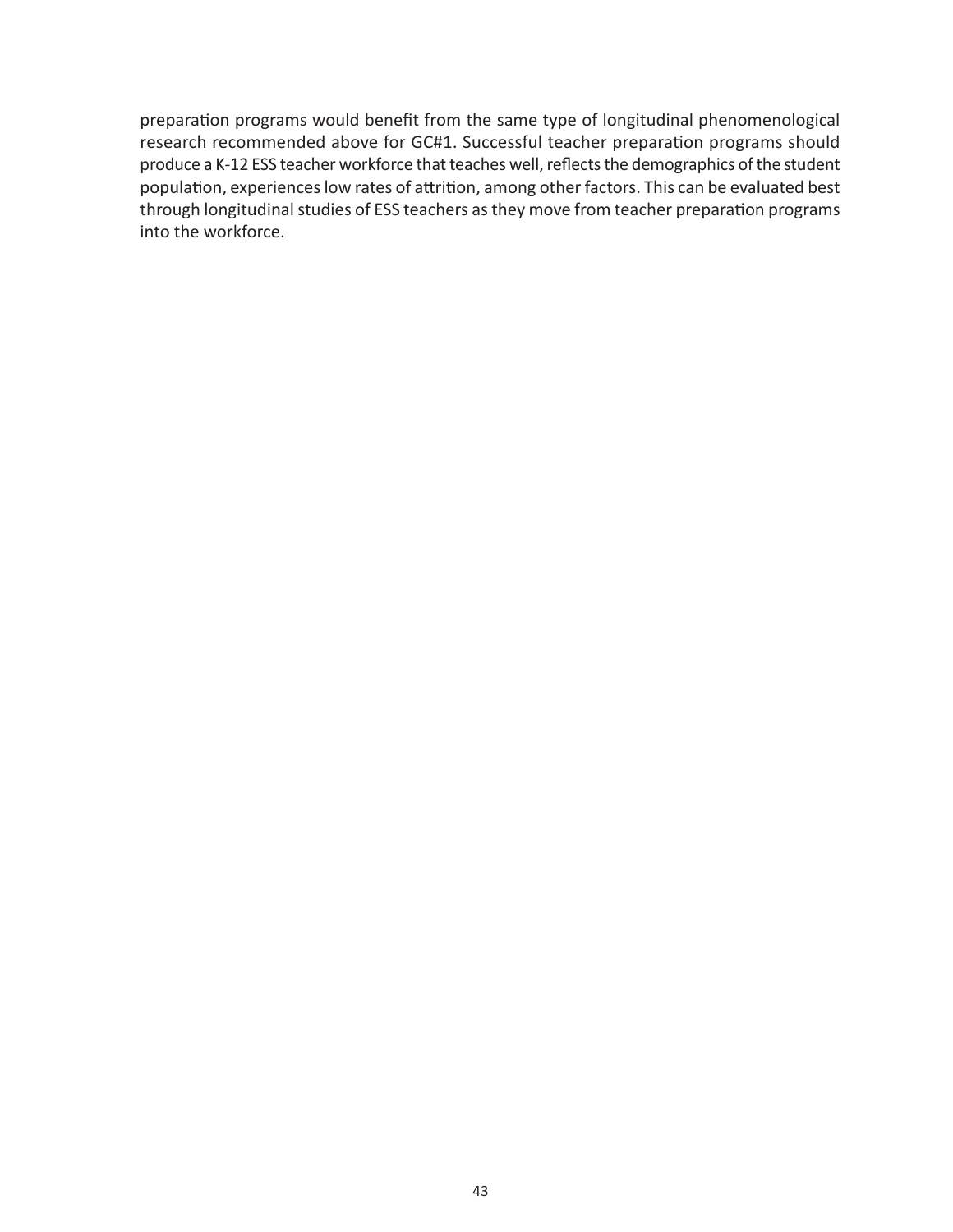preparation programs would benefit from the same type of longitudinal phenomenological research recommended above for GC#1. Successful teacher preparation programs should produce a K-12 ESS teacher workforce that teaches well, reflects the demographics of the student population, experiences low rates of attrition, among other factors. This can be evaluated best through longitudinal studies of ESS teachers as they move from teacher preparation programs into the workforce.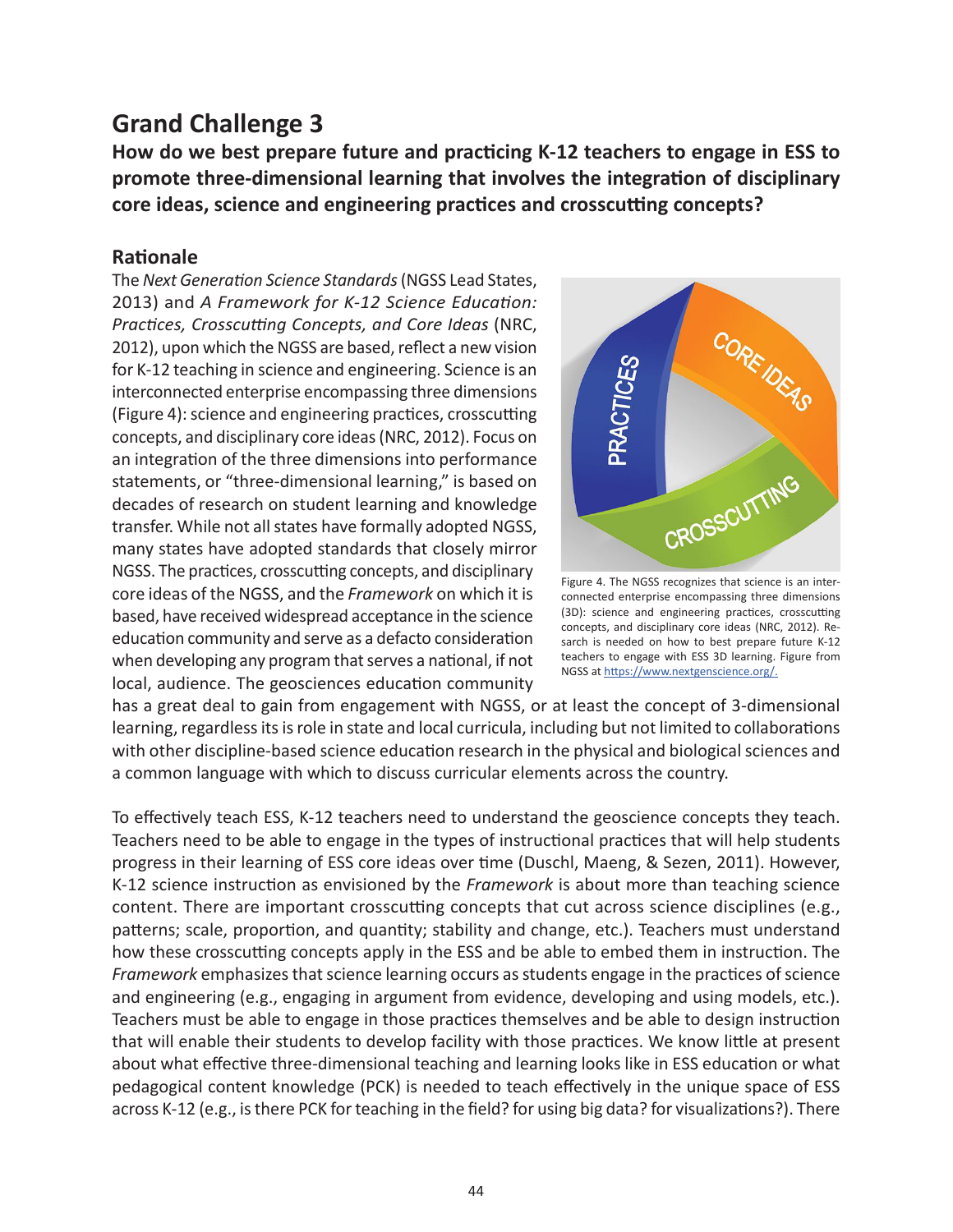## **Grand Challenge 3**

**How do we best prepare future and practicing K-12 teachers to engage in ESS to promote three-dimensional learning that involves the integration of disciplinary core ideas, science and engineering practices and crosscutting concepts?**

#### **Rationale**

The *Next Generation Science Standards* (NGSS Lead States, 2013) and *A Framework for K-12 Science Education: Practices, Crosscutting Concepts, and Core Ideas* (NRC, 2012), upon which the NGSS are based, reflect a new vision for K-12 teaching in science and engineering. Science is an interconnected enterprise encompassing three dimensions (Figure 4): science and engineering practices, crosscutting concepts, and disciplinary core ideas (NRC, 2012). Focus on an integration of the three dimensions into performance statements, or "three-dimensional learning," is based on decades of research on student learning and knowledge transfer. While not all states have formally adopted NGSS, many states have adopted standards that closely mirror NGSS. The practices, crosscutting concepts, and disciplinary core ideas of the NGSS, and the *Framework* on which it is based, have received widespread acceptance in the science education community and serve as a defacto consideration when developing any program that serves a national, if not local, audience. The geosciences education community



Figure 4. The NGSS recognizes that science is an interconnected enterprise encompassing three dimensions (3D): science and engineering practices, crosscutting concepts, and disciplinary core ideas (NRC, 2012). Resarch is needed on how to best prepare future K-12 teachers to engage with ESS 3D learning. Figure from NGSS at [https://www.nextgenscience.org/.](https://www.nextgenscience.org)

has a great deal to gain from engagement with NGSS, or at least the concept of 3-dimensional learning, regardless its is role in state and local curricula, including but not limited to collaborations with other discipline-based science education research in the physical and biological sciences and a common language with which to discuss curricular elements across the country.

To effectively teach ESS, K-12 teachers need to understand the geoscience concepts they teach. Teachers need to be able to engage in the types of instructional practices that will help students progress in their learning of ESS core ideas over time (Duschl, Maeng, & Sezen, 2011). However, K-12 science instruction as envisioned by the *Framework* is about more than teaching science content. There are important crosscutting concepts that cut across science disciplines (e.g., patterns; scale, proportion, and quantity; stability and change, etc.). Teachers must understand how these crosscutting concepts apply in the ESS and be able to embed them in instruction. The *Framework* emphasizes that science learning occurs as students engage in the practices of science and engineering (e.g., engaging in argument from evidence, developing and using models, etc.). Teachers must be able to engage in those practices themselves and be able to design instruction that will enable their students to develop facility with those practices. We know little at present about what effective three-dimensional teaching and learning looks like in ESS education or what pedagogical content knowledge (PCK) is needed to teach effectively in the unique space of ESS across K-12 (e.g., is there PCK for teaching in the field? for using big data? for visualizations?). There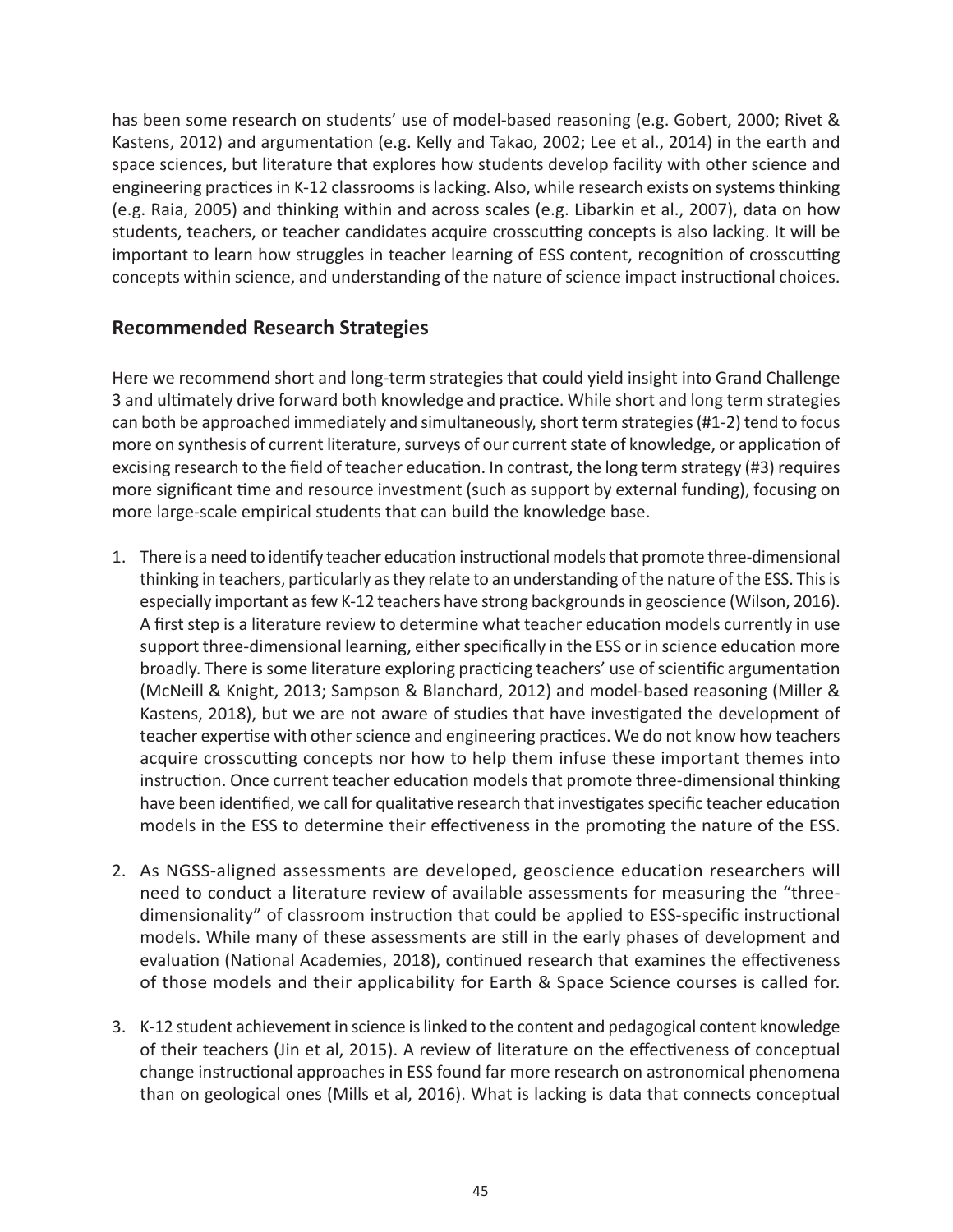has been some research on students' use of model-based reasoning (e.g. Gobert, 2000; Rivet & Kastens, 2012) and argumentation (e.g. Kelly and Takao, 2002; Lee et al., 2014) in the earth and space sciences, but literature that explores how students develop facility with other science and engineering practices in K-12 classrooms is lacking. Also, while research exists on systems thinking (e.g. Raia, 2005) and thinking within and across scales (e.g. Libarkin et al., 2007), data on how students, teachers, or teacher candidates acquire crosscutting concepts is also lacking. It will be important to learn how struggles in teacher learning of ESS content, recognition of crosscutting concepts within science, and understanding of the nature of science impact instructional choices.

#### **Recommended Research Strategies**

Here we recommend short and long-term strategies that could yield insight into Grand Challenge 3 and ultimately drive forward both knowledge and practice. While short and long term strategies can both be approached immediately and simultaneously, short term strategies (#1-2) tend to focus more on synthesis of current literature, surveys of our current state of knowledge, or application of excising research to the field of teacher education. In contrast, the long term strategy (#3) requires more significant time and resource investment (such as support by external funding), focusing on more large-scale empirical students that can build the knowledge base.

- 1. There is a need to identify teacher education instructional models that promote three-dimensional thinking in teachers, particularly as they relate to an understanding of the nature of the ESS. This is especially important as few K-12 teachers have strong backgrounds in geoscience (Wilson, 2016). A first step is a literature review to determine what teacher education models currently in use support three-dimensional learning, either specifically in the ESS or in science education more broadly. There is some literature exploring practicing teachers' use of scientific argumentation (McNeill & Knight, 2013; Sampson & Blanchard, 2012) and model-based reasoning (Miller & Kastens, 2018), but we are not aware of studies that have investigated the development of teacher expertise with other science and engineering practices. We do not know how teachers acquire crosscutting concepts nor how to help them infuse these important themes into instruction. Once current teacher education models that promote three-dimensional thinking have been identified, we call for qualitative research that investigates specific teacher education models in the ESS to determine their effectiveness in the promoting the nature of the ESS.
- 2. As NGSS-aligned assessments are developed, geoscience education researchers will need to conduct a literature review of available assessments for measuring the "threedimensionality" of classroom instruction that could be applied to ESS-specific instructional models. While many of these assessments are still in the early phases of development and evaluation (National Academies, 2018), continued research that examines the effectiveness of those models and their applicability for Earth & Space Science courses is called for.
- 3. K-12 student achievement in science is linked to the content and pedagogical content knowledge of their teachers (Jin et al, 2015). A review of literature on the effectiveness of conceptual change instructional approaches in ESS found far more research on astronomical phenomena than on geological ones (Mills et al, 2016). What is lacking is data that connects conceptual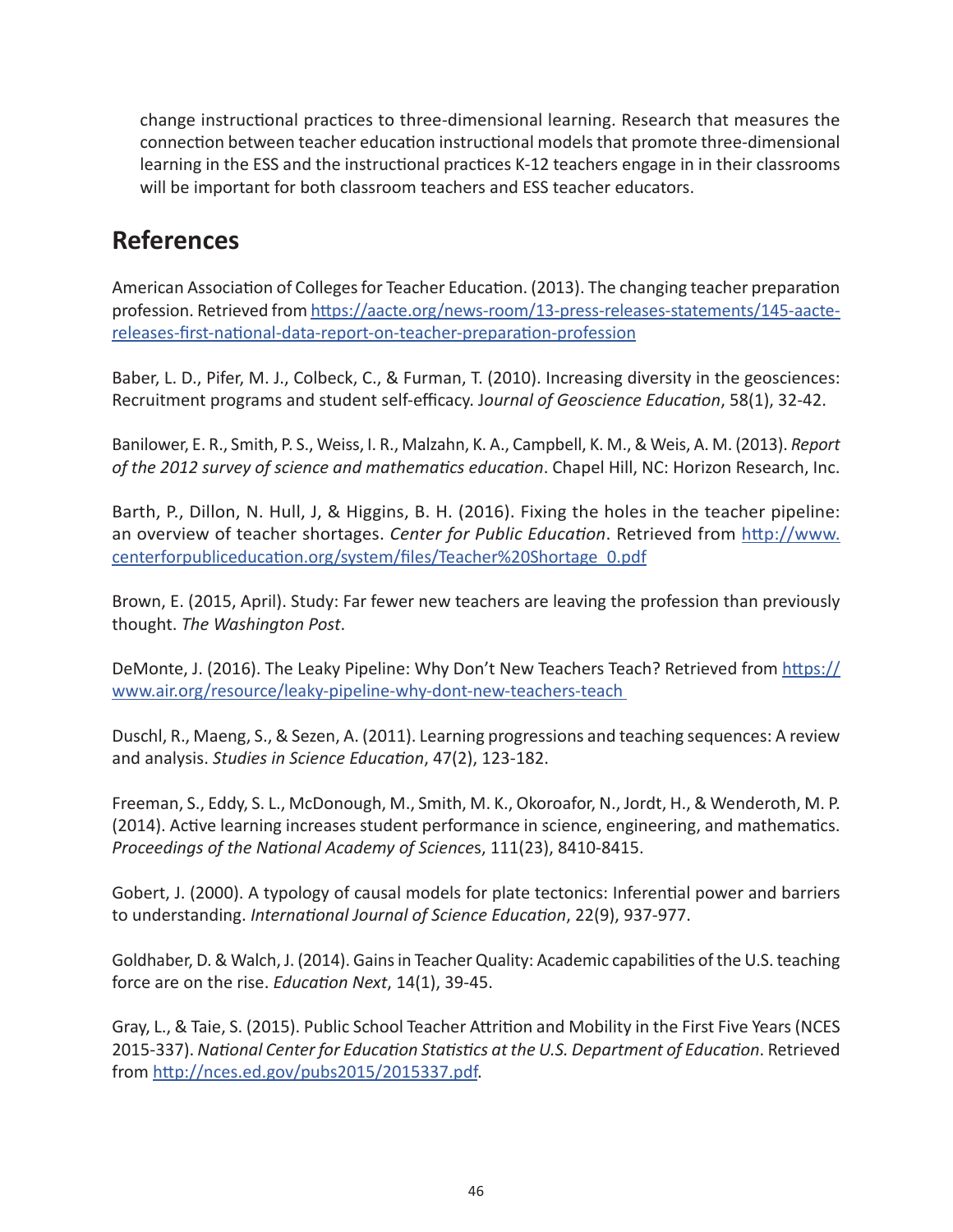change instructional practices to three-dimensional learning. Research that measures the connection between teacher education instructional models that promote three-dimensional learning in the ESS and the instructional practices K-12 teachers engage in in their classrooms will be important for both classroom teachers and ESS teacher educators.

## **References**

American Association of Colleges for Teacher Education. (2013). The changing teacher preparation profession. Retrieved from [https://aacte.org/news-room/13-press-releases-statements/145-aacte](https://aacte.org/news-room/13-press-releases-statements/145-aacte-releases-first-national-data-report-on-teacher-preparation-profession)[releases-first-national-data-report-on-teacher-preparation-profession](https://aacte.org/news-room/13-press-releases-statements/145-aacte-releases-first-national-data-report-on-teacher-preparation-profession)

Baber, L. D., Pifer, M. J., Colbeck, C., & Furman, T. (2010). Increasing diversity in the geosciences: Recruitment programs and student self-efficacy. J*ournal of Geoscience Education*, 58(1), 32-42.

Banilower, E. R., Smith, P. S., Weiss, I. R., Malzahn, K. A., Campbell, K. M., & Weis, A. M. (2013). *Report of the 2012 survey of science and mathematics education*. Chapel Hill, NC: Horizon Research, Inc.

Barth, P., Dillon, N. Hull, J, & Higgins, B. H. (2016). Fixing the holes in the teacher pipeline: an overview of teacher shortages. *Center for Public Education*. Retrieved from [http://www.](http://www.centerforpubliceducation.org/system/files/Teacher%20Shortage_0.pdf) [centerforpubliceducation.org/system/files/Teacher%20Shortage\\_0.pdf](http://www.centerforpubliceducation.org/system/files/Teacher%20Shortage_0.pdf)

Brown, E. (2015, April). Study: Far fewer new teachers are leaving the profession than previously thought. *The Washington Post*.

DeMonte, J. (2016). The Leaky Pipeline: Why Don't New Teachers Teach? Retrieved from [https://](https://www.air.org/resource/leaky-pipeline-why-dont-new-teachers-teach) [www.air.org/resource/leaky-pipeline-why-dont-new-teachers-teach](https://www.air.org/resource/leaky-pipeline-why-dont-new-teachers-teach) 

Duschl, R., Maeng, S., & Sezen, A. (2011). Learning progressions and teaching sequences: A review and analysis. *Studies in Science Education*, 47(2), 123-182.

Freeman, S., Eddy, S. L., McDonough, M., Smith, M. K., Okoroafor, N., Jordt, H., & Wenderoth, M. P. (2014). Active learning increases student performance in science, engineering, and mathematics. *Proceedings of the National Academy of Science*s, 111(23), 8410-8415.

Gobert, J. (2000). A typology of causal models for plate tectonics: Inferential power and barriers to understanding. *International Journal of Science Education*, 22(9), 937-977.

Goldhaber, D. & Walch, J. (2014). Gains in Teacher Quality: Academic capabilities of the U.S. teaching force are on the rise. *Education Next*, 14(1), 39-45.

Gray, L., & Taie, S. (2015). Public School Teacher Attrition and Mobility in the First Five Years (NCES 2015-337). *National Center for Education Statistics at the U.S. Department of Education*. Retrieved from [http://nces.ed.gov/pubs2015/2015337.pdf.](http://nces.ed.gov/pubs2015/2015337.pdf)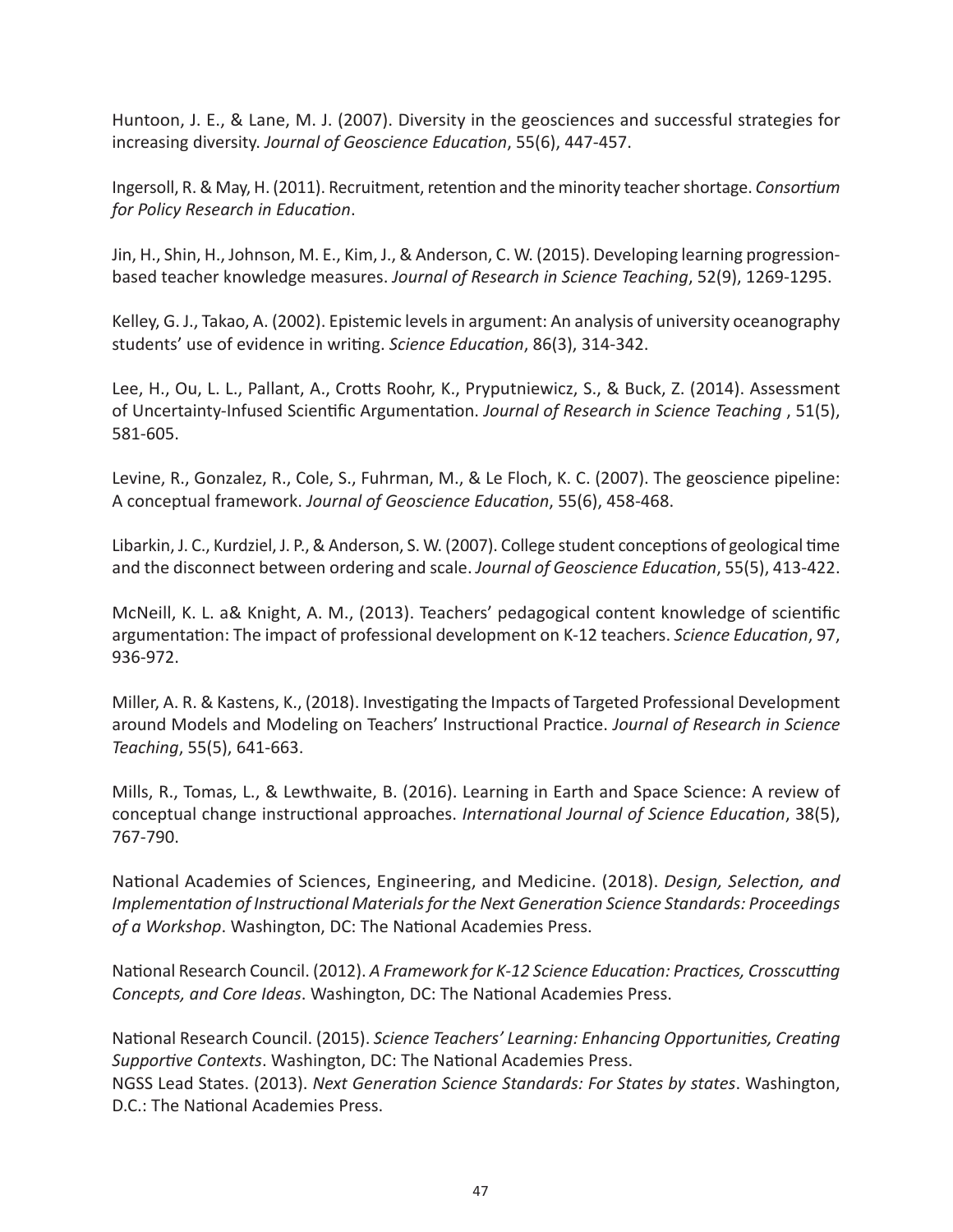Huntoon, J. E., & Lane, M. J. (2007). Diversity in the geosciences and successful strategies for increasing diversity. *Journal of Geoscience Education*, 55(6), 447-457.

Ingersoll, R. & May, H. (2011). Recruitment, retention and the minority teacher shortage. *Consortium for Policy Research in Education*.

Jin, H., Shin, H., Johnson, M. E., Kim, J., & Anderson, C. W. (2015). Developing learning progressionbased teacher knowledge measures. *Journal of Research in Science Teaching*, 52(9), 1269-1295.

Kelley, G. J., Takao, A. (2002). Epistemic levels in argument: An analysis of university oceanography students' use of evidence in writing. *Science Education*, 86(3), 314-342.

Lee, H., Ou, L. L., Pallant, A., Crotts Roohr, K., Pryputniewicz, S., & Buck, Z. (2014). Assessment of Uncertainty-Infused Scientific Argumentation. *Journal of Research in Science Teaching* , 51(5), 581-605.

Levine, R., Gonzalez, R., Cole, S., Fuhrman, M., & Le Floch, K. C. (2007). The geoscience pipeline: A conceptual framework. *Journal of Geoscience Education*, 55(6), 458-468.

Libarkin, J. C., Kurdziel, J. P., & Anderson, S. W. (2007). College student conceptions of geological time and the disconnect between ordering and scale. *Journal of Geoscience Education*, 55(5), 413-422.

McNeill, K. L. a& Knight, A. M., (2013). Teachers' pedagogical content knowledge of scientific argumentation: The impact of professional development on K-12 teachers. *Science Education*, 97, 936-972.

Miller, A. R. & Kastens, K., (2018). Investigating the Impacts of Targeted Professional Development around Models and Modeling on Teachers' Instructional Practice. *Journal of Research in Science Teaching*, 55(5), 641-663.

Mills, R., Tomas, L., & Lewthwaite, B. (2016). Learning in Earth and Space Science: A review of conceptual change instructional approaches. *International Journal of Science Education*, 38(5), 767-790.

National Academies of Sciences, Engineering, and Medicine. (2018). *Design, Selection, and Implementation of Instructional Materials for the Next Generation Science Standards: Proceedings of a Workshop*. Washington, DC: The National Academies Press.

National Research Council. (2012). *A Framework for K-12 Science Education: Practices, Crosscutting Concepts, and Core Ideas*. Washington, DC: The National Academies Press.

National Research Council. (2015). *Science Teachers' Learning: Enhancing Opportunities, Creating Supportive Contexts*. Washington, DC: The National Academies Press. NGSS Lead States. (2013). *Next Generation Science Standards: For States by states*. Washington, D.C.: The National Academies Press.